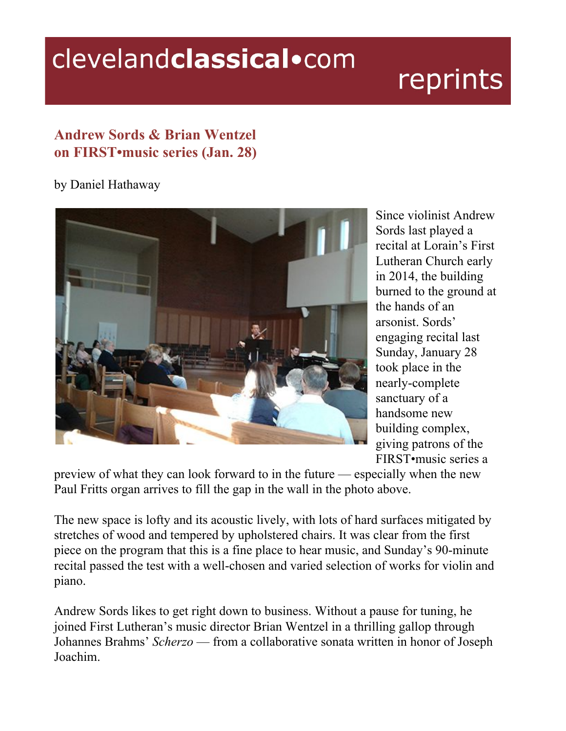## clevelandclassical.com

## reprints

## **Andrew Sords & Brian Wentzel on FIRST•music series (Jan. 28)**

## by Daniel Hathaway



Since violinist Andrew Sords last played a recital at Lorain's First Lutheran Church early in 2014, the building burned to the ground at the hands of an arsonist. Sords' engaging recital last Sunday, January 28 took place in the nearly-complete sanctuary of a handsome new building complex, giving patrons of the FIRST•music series a

preview of what they can look forward to in the future — especially when the new Paul Fritts organ arrives to fill the gap in the wall in the photo above.

The new space is lofty and its acoustic lively, with lots of hard surfaces mitigated by stretches of wood and tempered by upholstered chairs. It was clear from the first piece on the program that this is a fine place to hear music, and Sunday's 90-minute recital passed the test with a well-chosen and varied selection of works for violin and piano.

Andrew Sords likes to get right down to business. Without a pause for tuning, he joined First Lutheran's music director Brian Wentzel in a thrilling gallop through Johannes Brahms' *Scherzo* — from a collaborative sonata written in honor of Joseph Joachim.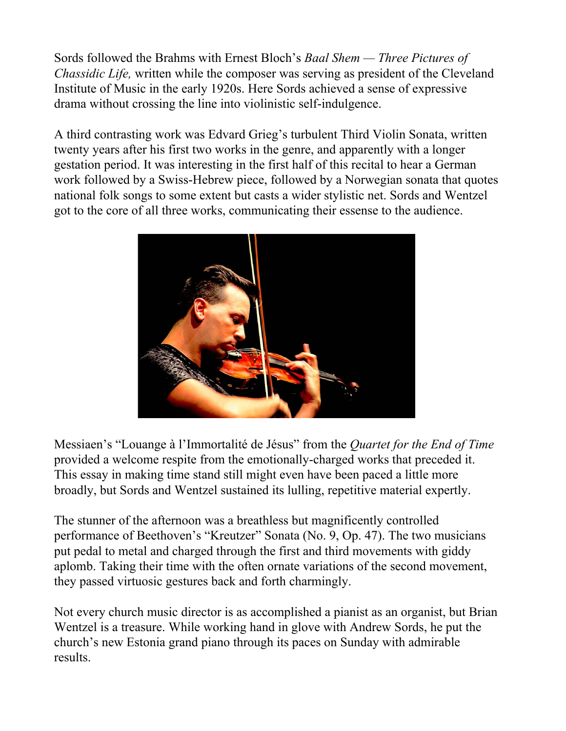Sords followed the Brahms with Ernest Bloch's *Baal Shem — Three Pictures of Chassidic Life,* written while the composer was serving as president of the Cleveland Institute of Music in the early 1920s. Here Sords achieved a sense of expressive drama without crossing the line into violinistic self-indulgence.

A third contrasting work was Edvard Grieg's turbulent Third Violin Sonata, written twenty years after his first two works in the genre, and apparently with a longer gestation period. It was interesting in the first half of this recital to hear a German work followed by a Swiss-Hebrew piece, followed by a Norwegian sonata that quotes national folk songs to some extent but casts a wider stylistic net. Sords and Wentzel got to the core of all three works, communicating their essense to the audience.



Messiaen's "Louange à l'Immortalité de Jésus" from the *Quartet for the End of Time* provided a welcome respite from the emotionally-charged works that preceded it. This essay in making time stand still might even have been paced a little more broadly, but Sords and Wentzel sustained its lulling, repetitive material expertly.

The stunner of the afternoon was a breathless but magnificently controlled performance of Beethoven's "Kreutzer" Sonata (No. 9, Op. 47). The two musicians put pedal to metal and charged through the first and third movements with giddy aplomb. Taking their time with the often ornate variations of the second movement, they passed virtuosic gestures back and forth charmingly.

Not every church music director is as accomplished a pianist as an organist, but Brian Wentzel is a treasure. While working hand in glove with Andrew Sords, he put the church's new Estonia grand piano through its paces on Sunday with admirable results.